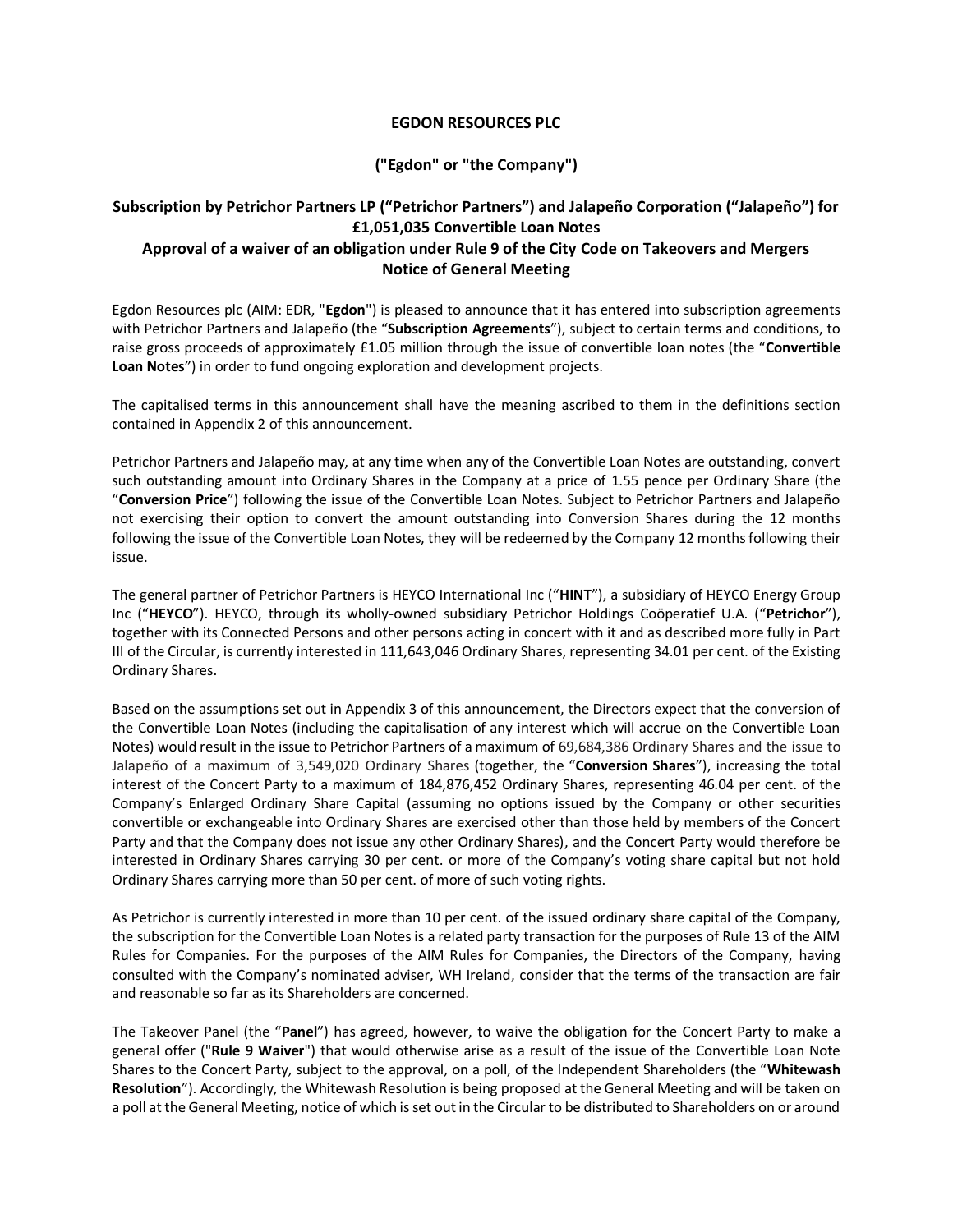## **EGDON RESOURCES PLC**

# **("Egdon" or "the Company")**

# **Subscription by Petrichor Partners LP ("Petrichor Partners") and Jalapeño Corporation ("Jalapeño") for £1,051,035 Convertible Loan Notes Approval of a waiver of an obligation under Rule 9 of the City Code on Takeovers and Mergers**

# **Notice of General Meeting**

Egdon Resources plc (AIM: EDR, "**Egdon**") is pleased to announce that it has entered into subscription agreements with Petrichor Partners and Jalapeño (the "**Subscription Agreements**"), subject to certain terms and conditions, to raise gross proceeds of approximately £1.05 million through the issue of convertible loan notes (the "**Convertible Loan Notes**") in order to fund ongoing exploration and development projects.

The capitalised terms in this announcement shall have the meaning ascribed to them in the definitions section contained in Appendix 2 of this announcement.

Petrichor Partners and Jalapeño may, at any time when any of the Convertible Loan Notes are outstanding, convert such outstanding amount into Ordinary Shares in the Company at a price of 1.55 pence per Ordinary Share (the "**Conversion Price**") following the issue of the Convertible Loan Notes. Subject to Petrichor Partners and Jalapeño not exercising their option to convert the amount outstanding into Conversion Shares during the 12 months following the issue of the Convertible Loan Notes, they will be redeemed by the Company 12 months following their issue.

The general partner of Petrichor Partners is HEYCO International Inc ("**HINT**"), a subsidiary of HEYCO Energy Group Inc ("**HEYCO**"). HEYCO, through its wholly-owned subsidiary Petrichor Holdings Coöperatief U.A. ("**Petrichor**"), together with its Connected Persons and other persons acting in concert with it and as described more fully in Part III of the Circular, is currently interested in 111,643,046 Ordinary Shares, representing 34.01 per cent. of the Existing Ordinary Shares.

Based on the assumptions set out in Appendix 3 of this announcement, the Directors expect that the conversion of the Convertible Loan Notes (including the capitalisation of any interest which will accrue on the Convertible Loan Notes) would result in the issue to Petrichor Partners of a maximum of 69,684,386 Ordinary Shares and the issue to Jalapeño of a maximum of 3,549,020 Ordinary Shares (together, the "**Conversion Shares**"), increasing the total interest of the Concert Party to a maximum of 184,876,452 Ordinary Shares, representing 46.04 per cent. of the Company's Enlarged Ordinary Share Capital (assuming no options issued by the Company or other securities convertible or exchangeable into Ordinary Shares are exercised other than those held by members of the Concert Party and that the Company does not issue any other Ordinary Shares), and the Concert Party would therefore be interested in Ordinary Shares carrying 30 per cent. or more of the Company's voting share capital but not hold Ordinary Shares carrying more than 50 per cent. of more of such voting rights.

As Petrichor is currently interested in more than 10 per cent. of the issued ordinary share capital of the Company, the subscription for the Convertible Loan Notes is a related party transaction for the purposes of Rule 13 of the AIM Rules for Companies. For the purposes of the AIM Rules for Companies, the Directors of the Company, having consulted with the Company's nominated adviser, WH Ireland, consider that the terms of the transaction are fair and reasonable so far as its Shareholders are concerned.

The Takeover Panel (the "**Panel**") has agreed, however, to waive the obligation for the Concert Party to make a general offer ("**Rule 9 Waiver**") that would otherwise arise as a result of the issue of the Convertible Loan Note Shares to the Concert Party, subject to the approval, on a poll, of the Independent Shareholders (the "**Whitewash Resolution**"). Accordingly, the Whitewash Resolution is being proposed at the General Meeting and will be taken on a poll at the General Meeting, notice of which is set out in the Circular to be distributed to Shareholders on or around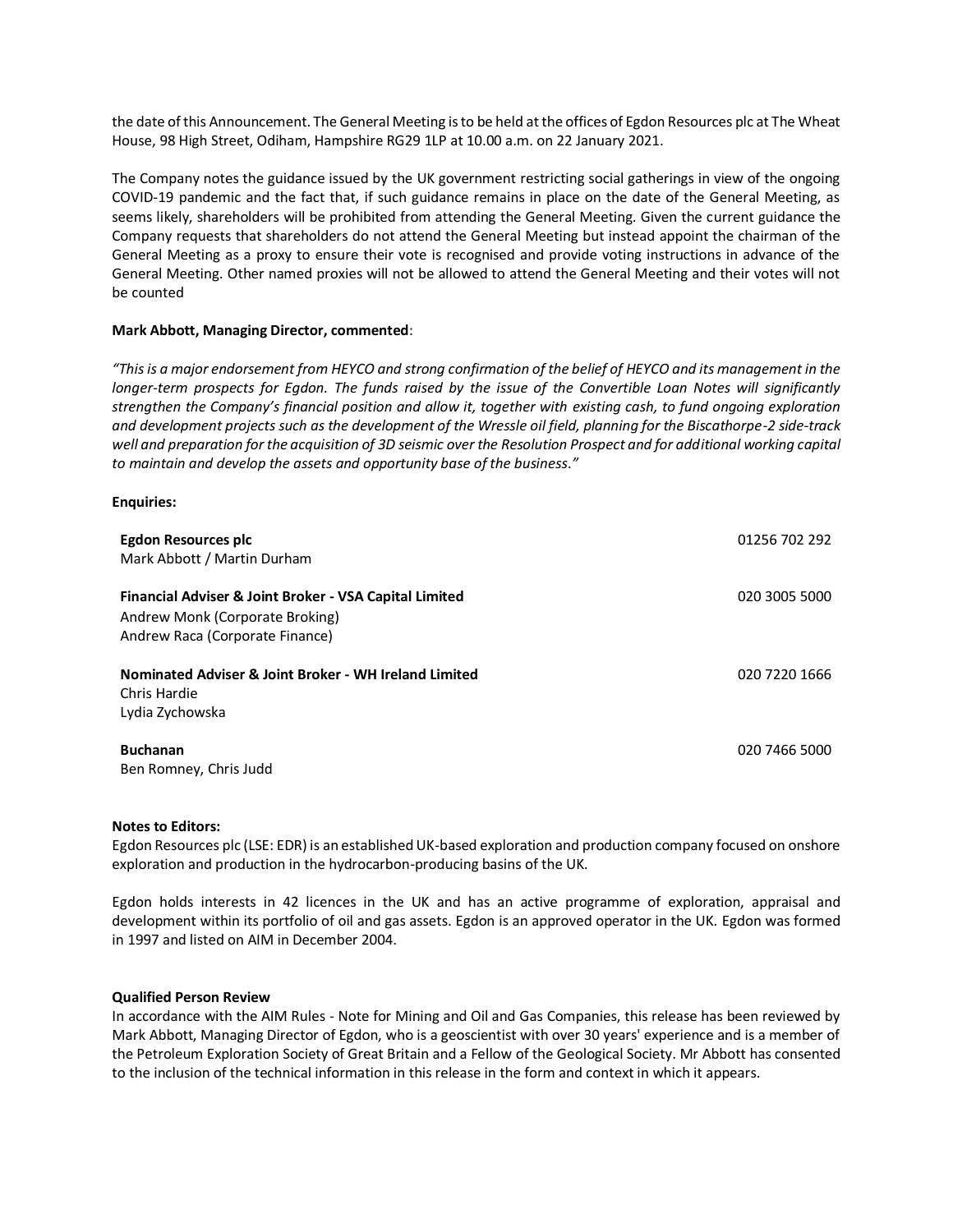the date of this Announcement. The General Meeting is to be held atthe offices of Egdon Resources plc at The Wheat House, 98 High Street, Odiham, Hampshire RG29 1LP at 10.00 a.m. on 22 January 2021.

The Company notes the guidance issued by the UK government restricting social gatherings in view of the ongoing COVID-19 pandemic and the fact that, if such guidance remains in place on the date of the General Meeting, as seems likely, shareholders will be prohibited from attending the General Meeting. Given the current guidance the Company requests that shareholders do not attend the General Meeting but instead appoint the chairman of the General Meeting as a proxy to ensure their vote is recognised and provide voting instructions in advance of the General Meeting. Other named proxies will not be allowed to attend the General Meeting and their votes will not be counted

## **Mark Abbott, Managing Director, commented**:

*"This is a major endorsement from HEYCO and strong confirmation of the belief of HEYCO and its management in the longer-term prospects for Egdon. The funds raised by the issue of the Convertible Loan Notes will significantly strengthen the Company's financial position and allow it, together with existing cash, to fund ongoing exploration and development projects such as the development of the Wressle oil field, planning for the Biscathorpe-2 side-track*  well and preparation for the acquisition of 3D seismic over the Resolution Prospect and for additional working capital *to maintain and develop the assets and opportunity base of the business."*

### **Enquiries:**

| Egdon Resources plc<br>Mark Abbott / Martin Durham                                                                           | 01256 702 292 |
|------------------------------------------------------------------------------------------------------------------------------|---------------|
| Financial Adviser & Joint Broker - VSA Capital Limited<br>Andrew Monk (Corporate Broking)<br>Andrew Raca (Corporate Finance) | 020 3005 5000 |
| Nominated Adviser & Joint Broker - WH Ireland Limited<br>Chris Hardie<br>Lydia Zychowska                                     | 020 7220 1666 |
| <b>Buchanan</b><br>Ben Romney, Chris Judd                                                                                    | 020 7466 5000 |

#### **Notes to Editors:**

Egdon Resources plc (LSE: EDR) is an established UK-based exploration and production company focused on onshore exploration and production in the hydrocarbon-producing basins of the UK.

Egdon holds interests in 42 licences in the UK and has an active programme of exploration, appraisal and development within its portfolio of oil and gas assets. Egdon is an approved operator in the UK. Egdon was formed in 1997 and listed on AIM in December 2004.

#### **Qualified Person Review**

In accordance with the AIM Rules - Note for Mining and Oil and Gas Companies, this release has been reviewed by Mark Abbott, Managing Director of Egdon, who is a geoscientist with over 30 years' experience and is a member of the Petroleum Exploration Society of Great Britain and a Fellow of the Geological Society. Mr Abbott has consented to the inclusion of the technical information in this release in the form and context in which it appears.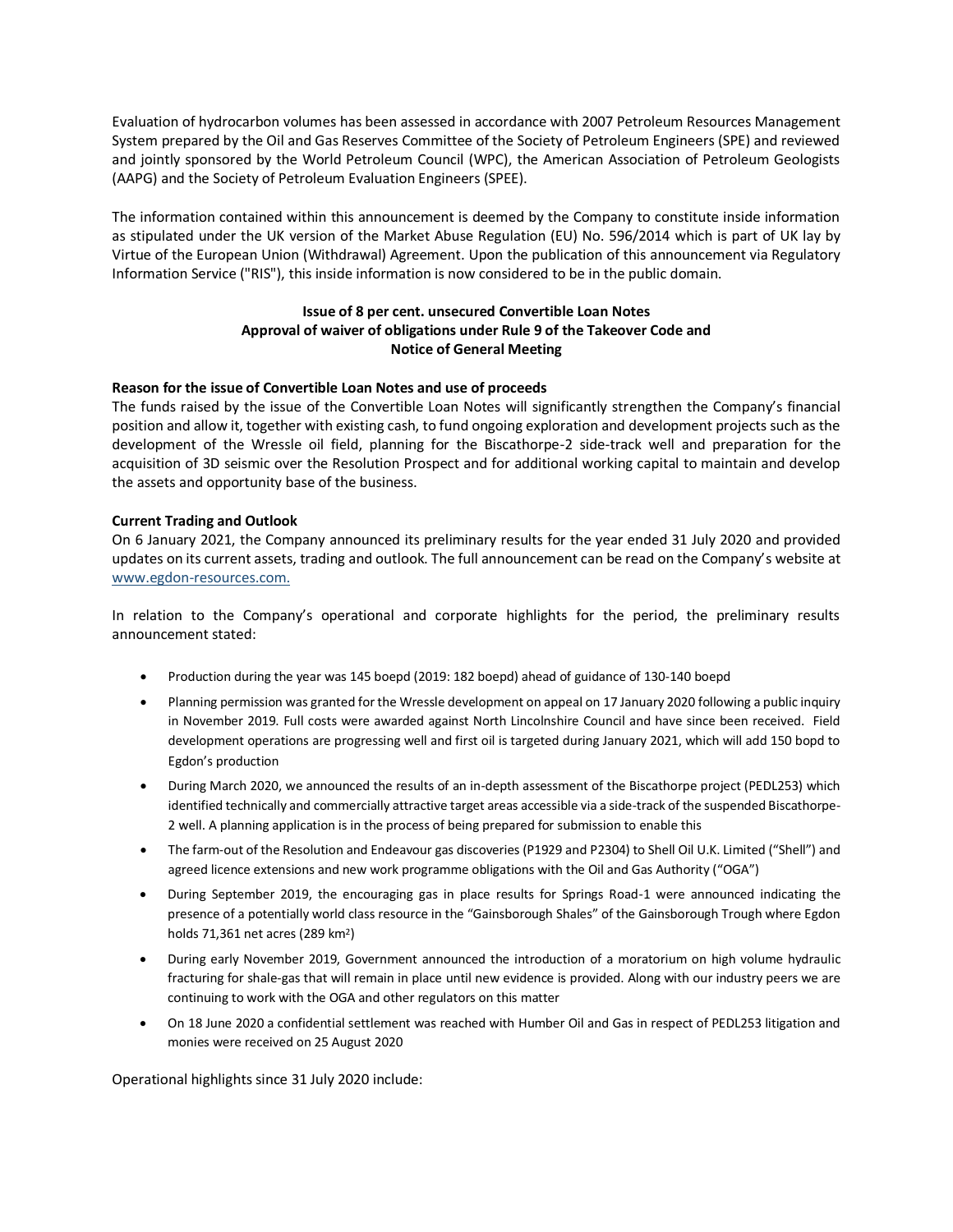Evaluation of hydrocarbon volumes has been assessed in accordance with 2007 Petroleum Resources Management System prepared by the Oil and Gas Reserves Committee of the Society of Petroleum Engineers (SPE) and reviewed and jointly sponsored by the World Petroleum Council (WPC), the American Association of Petroleum Geologists (AAPG) and the Society of Petroleum Evaluation Engineers (SPEE).

The information contained within this announcement is deemed by the Company to constitute inside information as stipulated under the UK version of the Market Abuse Regulation (EU) No. 596/2014 which is part of UK lay by Virtue of the European Union (Withdrawal) Agreement. Upon the publication of this announcement via Regulatory Information Service ("RIS"), this inside information is now considered to be in the public domain.

## **Issue of 8 per cent. unsecured Convertible Loan Notes Approval of waiver of obligations under Rule 9 of the Takeover Code and Notice of General Meeting**

## **Reason for the issue of Convertible Loan Notes and use of proceeds**

The funds raised by the issue of the Convertible Loan Notes will significantly strengthen the Company's financial position and allow it, together with existing cash, to fund ongoing exploration and development projects such as the development of the Wressle oil field, planning for the Biscathorpe-2 side-track well and preparation for the acquisition of 3D seismic over the Resolution Prospect and for additional working capital to maintain and develop the assets and opportunity base of the business.

## **Current Trading and Outlook**

On 6 January 2021, the Company announced its preliminary results for the year ended 31 July 2020 and provided updates on its current assets, trading and outlook. The full announcement can be read on the Company'[s website at](http://www.egdon-resources.com/) [www.egdon-resources.com.](http://www.egdon-resources.com/)

In relation to the Company's operational and corporate highlights for the period, the preliminary results announcement stated:

- Production during the year was 145 boepd (2019: 182 boepd) ahead of guidance of 130-140 boepd
- Planning permission was granted for the Wressle development on appeal on 17 January 2020 following a public inquiry in November 2019. Full costs were awarded against North Lincolnshire Council and have since been received. Field development operations are progressing well and first oil is targeted during January 2021, which will add 150 bopd to Egdon's production
- During March 2020, we announced the results of an in-depth assessment of the Biscathorpe project (PEDL253) which identified technically and commercially attractive target areas accessible via a side-track of the suspended Biscathorpe-2 well. A planning application is in the process of being prepared for submission to enable this
- The farm-out of the Resolution and Endeavour gas discoveries (P1929 and P2304) to Shell Oil U.K. Limited ("Shell") and agreed licence extensions and new work programme obligations with the Oil and Gas Authority ("OGA")
- During September 2019, the encouraging gas in place results for Springs Road-1 were announced indicating the presence of a potentially world class resource in the "Gainsborough Shales" of the Gainsborough Trough where Egdon holds 71,361 net acres (289 km<sup>2</sup>)
- During early November 2019, Government announced the introduction of a moratorium on high volume hydraulic fracturing for shale-gas that will remain in place until new evidence is provided. Along with our industry peers we are continuing to work with the OGA and other regulators on this matter
- On 18 June 2020 a confidential settlement was reached with Humber Oil and Gas in respect of PEDL253 litigation and monies were received on 25 August 2020

Operational highlights since 31 July 2020 include: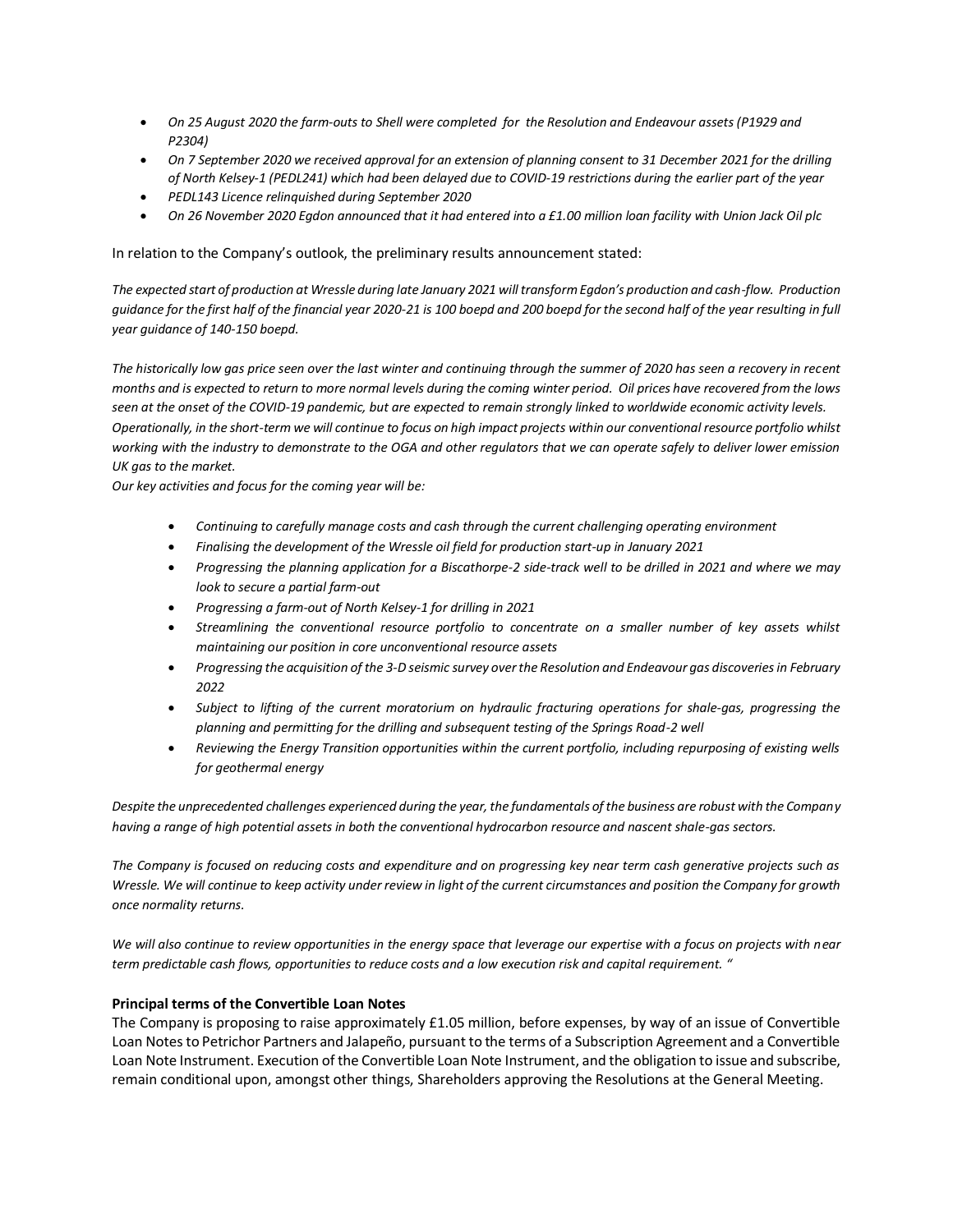- *On 25 August 2020 the farm-outs to Shell were completed for the Resolution and Endeavour assets (P1929 and P2304)*
- *On 7 September 2020 we received approval for an extension of planning consent to 31 December 2021 for the drilling of North Kelsey-1 (PEDL241) which had been delayed due to COVID-19 restrictions during the earlier part of the year*
- *PEDL143 Licence relinquished during September 2020*
- *On 26 November 2020 Egdon announced that it had entered into a £1.00 million loan facility with Union Jack Oil plc*

In relation to the Company's outlook, the preliminary results announcement stated:

*The expected start of production at Wressle during late January 2021 will transform Egdon's production and cash-flow. Production guidance for the first half of the financial year 2020-21 is 100 boepd and 200 boepd for the second half of the year resulting in full year guidance of 140-150 boepd.* 

*The historically low gas price seen over the last winter and continuing through the summer of 2020 has seen a recovery in recent months and is expected to return to more normal levels during the coming winter period. Oil prices have recovered from the lows seen at the onset of the COVID-19 pandemic, but are expected to remain strongly linked to worldwide economic activity levels. Operationally, in the short-term we will continue to focus on high impact projects within our conventional resource portfolio whilst working with the industry to demonstrate to the OGA and other regulators that we can operate safely to deliver lower emission UK gas to the market.*

*Our key activities and focus for the coming year will be:*

- *Continuing to carefully manage costs and cash through the current challenging operating environment*
- *Finalising the development of the Wressle oil field for production start-up in January 2021*
- *Progressing the planning application for a Biscathorpe-2 side-track well to be drilled in 2021 and where we may look to secure a partial farm-out*
- *Progressing a farm-out of North Kelsey-1 for drilling in 2021*
- *Streamlining the conventional resource portfolio to concentrate on a smaller number of key assets whilst maintaining our position in core unconventional resource assets*
- *Progressing the acquisition of the 3-D seismic survey over the Resolution and Endeavour gas discoveries in February 2022*
- *Subject to lifting of the current moratorium on hydraulic fracturing operations for shale-gas, progressing the planning and permitting for the drilling and subsequent testing of the Springs Road-2 well*
- *Reviewing the Energy Transition opportunities within the current portfolio, including repurposing of existing wells for geothermal energy*

*Despite the unprecedented challenges experienced during the year, the fundamentals of the business are robust with the Company having a range of high potential assets in both the conventional hydrocarbon resource and nascent shale-gas sectors.* 

*The Company is focused on reducing costs and expenditure and on progressing key near term cash generative projects such as Wressle. We will continue to keep activity under review in light of the current circumstances and position the Company for growth once normality returns.*

*We will also continue to review opportunities in the energy space that leverage our expertise with a focus on projects with near term predictable cash flows, opportunities to reduce costs and a low execution risk and capital requirement. "*

### **Principal terms of the Convertible Loan Notes**

The Company is proposing to raise approximately £1.05 million, before expenses, by way of an issue of Convertible Loan Notes to Petrichor Partners and Jalapeño, pursuant to the terms of a Subscription Agreement and a Convertible Loan Note Instrument. Execution of the Convertible Loan Note Instrument, and the obligation to issue and subscribe, remain conditional upon, amongst other things, Shareholders approving the Resolutions at the General Meeting.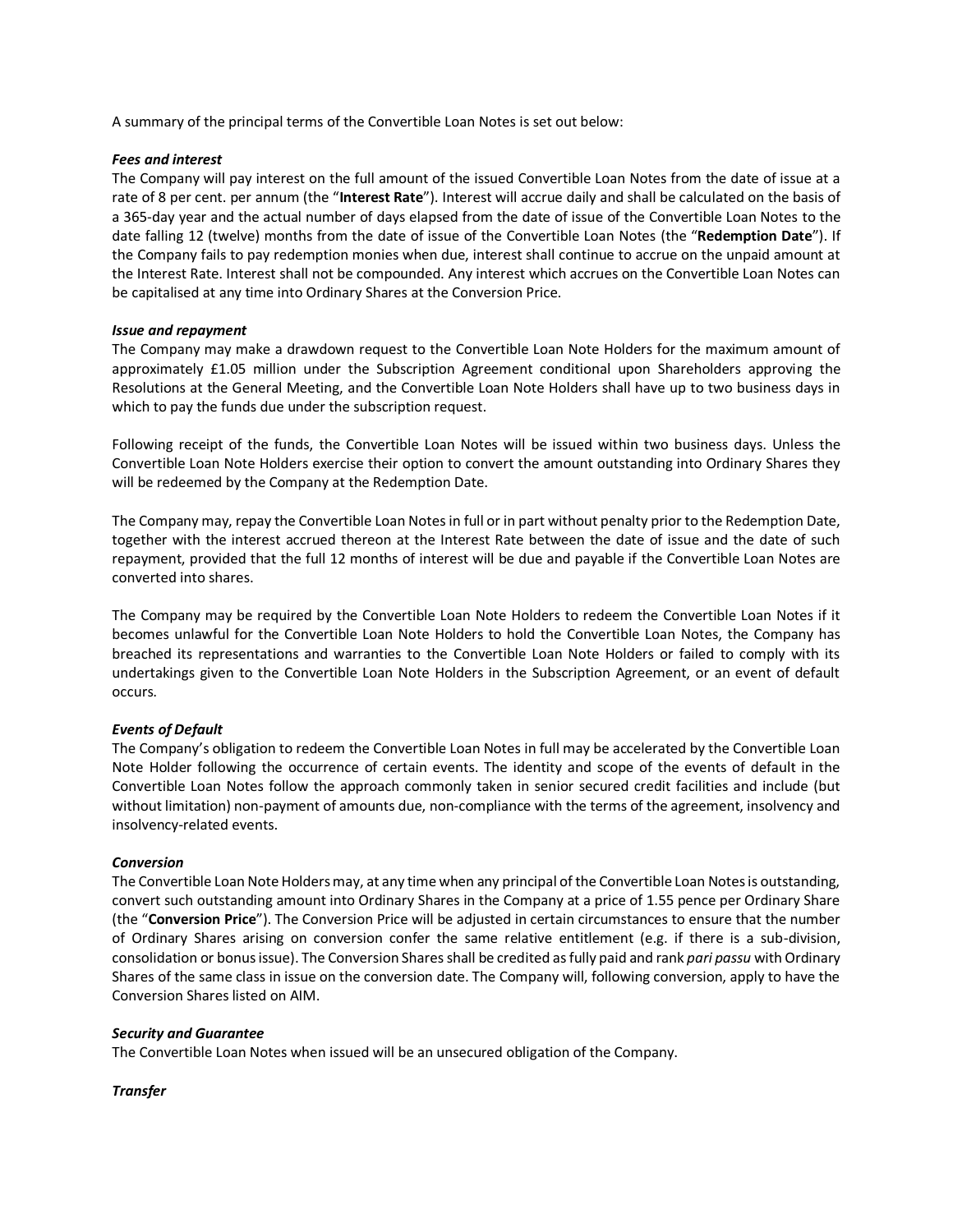A summary of the principal terms of the Convertible Loan Notes is set out below:

## *Fees and interest*

The Company will pay interest on the full amount of the issued Convertible Loan Notes from the date of issue at a rate of 8 per cent. per annum (the "**Interest Rate**"). Interest will accrue daily and shall be calculated on the basis of a 365-day year and the actual number of days elapsed from the date of issue of the Convertible Loan Notes to the date falling 12 (twelve) months from the date of issue of the Convertible Loan Notes (the "**Redemption Date**"). If the Company fails to pay redemption monies when due, interest shall continue to accrue on the unpaid amount at the Interest Rate. Interest shall not be compounded. Any interest which accrues on the Convertible Loan Notes can be capitalised at any time into Ordinary Shares at the Conversion Price.

## *Issue and repayment*

The Company may make a drawdown request to the Convertible Loan Note Holders for the maximum amount of approximately £1.05 million under the Subscription Agreement conditional upon Shareholders approving the Resolutions at the General Meeting, and the Convertible Loan Note Holders shall have up to two business days in which to pay the funds due under the subscription request.

Following receipt of the funds, the Convertible Loan Notes will be issued within two business days. Unless the Convertible Loan Note Holders exercise their option to convert the amount outstanding into Ordinary Shares they will be redeemed by the Company at the Redemption Date.

The Company may, repay the Convertible Loan Notes in full or in part without penalty prior to the Redemption Date, together with the interest accrued thereon at the Interest Rate between the date of issue and the date of such repayment, provided that the full 12 months of interest will be due and payable if the Convertible Loan Notes are converted into shares.

The Company may be required by the Convertible Loan Note Holders to redeem the Convertible Loan Notes if it becomes unlawful for the Convertible Loan Note Holders to hold the Convertible Loan Notes, the Company has breached its representations and warranties to the Convertible Loan Note Holders or failed to comply with its undertakings given to the Convertible Loan Note Holders in the Subscription Agreement, or an event of default occurs.

## *Events of Default*

The Company's obligation to redeem the Convertible Loan Notes in full may be accelerated by the Convertible Loan Note Holder following the occurrence of certain events. The identity and scope of the events of default in the Convertible Loan Notes follow the approach commonly taken in senior secured credit facilities and include (but without limitation) non-payment of amounts due, non-compliance with the terms of the agreement, insolvency and insolvency-related events.

### *Conversion*

The Convertible Loan Note Holders may, at any time when any principal of the Convertible Loan Notes is outstanding, convert such outstanding amount into Ordinary Shares in the Company at a price of 1.55 pence per Ordinary Share (the "**Conversion Price**"). The Conversion Price will be adjusted in certain circumstances to ensure that the number of Ordinary Shares arising on conversion confer the same relative entitlement (e.g. if there is a sub-division, consolidation or bonus issue). The Conversion Shares shall be credited as fully paid and rank *pari passu* with Ordinary Shares of the same class in issue on the conversion date. The Company will, following conversion, apply to have the Conversion Shares listed on AIM.

### *Security and Guarantee*

The Convertible Loan Notes when issued will be an unsecured obligation of the Company.

*Transfer*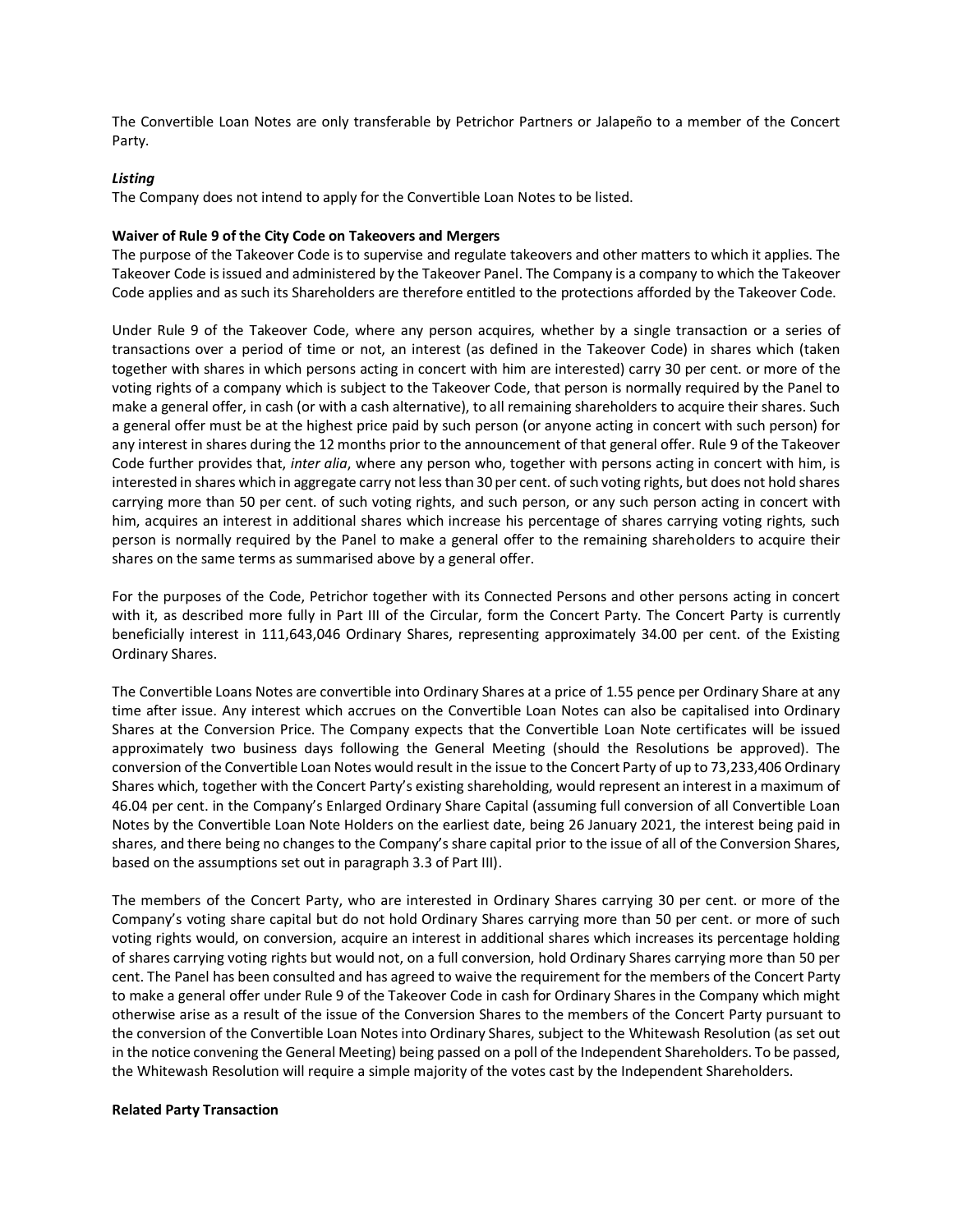The Convertible Loan Notes are only transferable by Petrichor Partners or Jalapeño to a member of the Concert Party.

### *Listing*

The Company does not intend to apply for the Convertible Loan Notes to be listed.

#### **Waiver of Rule 9 of the City Code on Takeovers and Mergers**

The purpose of the Takeover Code is to supervise and regulate takeovers and other matters to which it applies. The Takeover Code is issued and administered by the Takeover Panel. The Company is a company to which the Takeover Code applies and as such its Shareholders are therefore entitled to the protections afforded by the Takeover Code.

Under Rule 9 of the Takeover Code, where any person acquires, whether by a single transaction or a series of transactions over a period of time or not, an interest (as defined in the Takeover Code) in shares which (taken together with shares in which persons acting in concert with him are interested) carry 30 per cent. or more of the voting rights of a company which is subject to the Takeover Code, that person is normally required by the Panel to make a general offer, in cash (or with a cash alternative), to all remaining shareholders to acquire their shares. Such a general offer must be at the highest price paid by such person (or anyone acting in concert with such person) for any interest in shares during the 12 months prior to the announcement of that general offer. Rule 9 of the Takeover Code further provides that, *inter alia*, where any person who, together with persons acting in concert with him, is interested in shares which in aggregate carry not less than 30 per cent. of such voting rights, but does not hold shares carrying more than 50 per cent. of such voting rights, and such person, or any such person acting in concert with him, acquires an interest in additional shares which increase his percentage of shares carrying voting rights, such person is normally required by the Panel to make a general offer to the remaining shareholders to acquire their shares on the same terms as summarised above by a general offer.

For the purposes of the Code, Petrichor together with its Connected Persons and other persons acting in concert with it, as described more fully in Part III of the Circular, form the Concert Party. The Concert Party is currently beneficially interest in 111,643,046 Ordinary Shares, representing approximately 34.00 per cent. of the Existing Ordinary Shares.

The Convertible Loans Notes are convertible into Ordinary Shares at a price of 1.55 pence per Ordinary Share at any time after issue. Any interest which accrues on the Convertible Loan Notes can also be capitalised into Ordinary Shares at the Conversion Price. The Company expects that the Convertible Loan Note certificates will be issued approximately two business days following the General Meeting (should the Resolutions be approved). The conversion of the Convertible Loan Notes would result in the issue to the Concert Party of up to 73,233,406 Ordinary Shares which, together with the Concert Party's existing shareholding, would represent an interest in a maximum of 46.04 per cent. in the Company's Enlarged Ordinary Share Capital (assuming full conversion of all Convertible Loan Notes by the Convertible Loan Note Holders on the earliest date, being 26 January 2021, the interest being paid in shares, and there being no changes to the Company's share capital prior to the issue of all of the Conversion Shares, based on the assumptions set out in paragraph 3.3 of Part III).

The members of the Concert Party, who are interested in Ordinary Shares carrying 30 per cent. or more of the Company's voting share capital but do not hold Ordinary Shares carrying more than 50 per cent. or more of such voting rights would, on conversion, acquire an interest in additional shares which increases its percentage holding of shares carrying voting rights but would not, on a full conversion, hold Ordinary Shares carrying more than 50 per cent. The Panel has been consulted and has agreed to waive the requirement for the members of the Concert Party to make a general offer under Rule 9 of the Takeover Code in cash for Ordinary Shares in the Company which might otherwise arise as a result of the issue of the Conversion Shares to the members of the Concert Party pursuant to the conversion of the Convertible Loan Notes into Ordinary Shares, subject to the Whitewash Resolution (as set out in the notice convening the General Meeting) being passed on a poll of the Independent Shareholders. To be passed, the Whitewash Resolution will require a simple majority of the votes cast by the Independent Shareholders.

### **Related Party Transaction**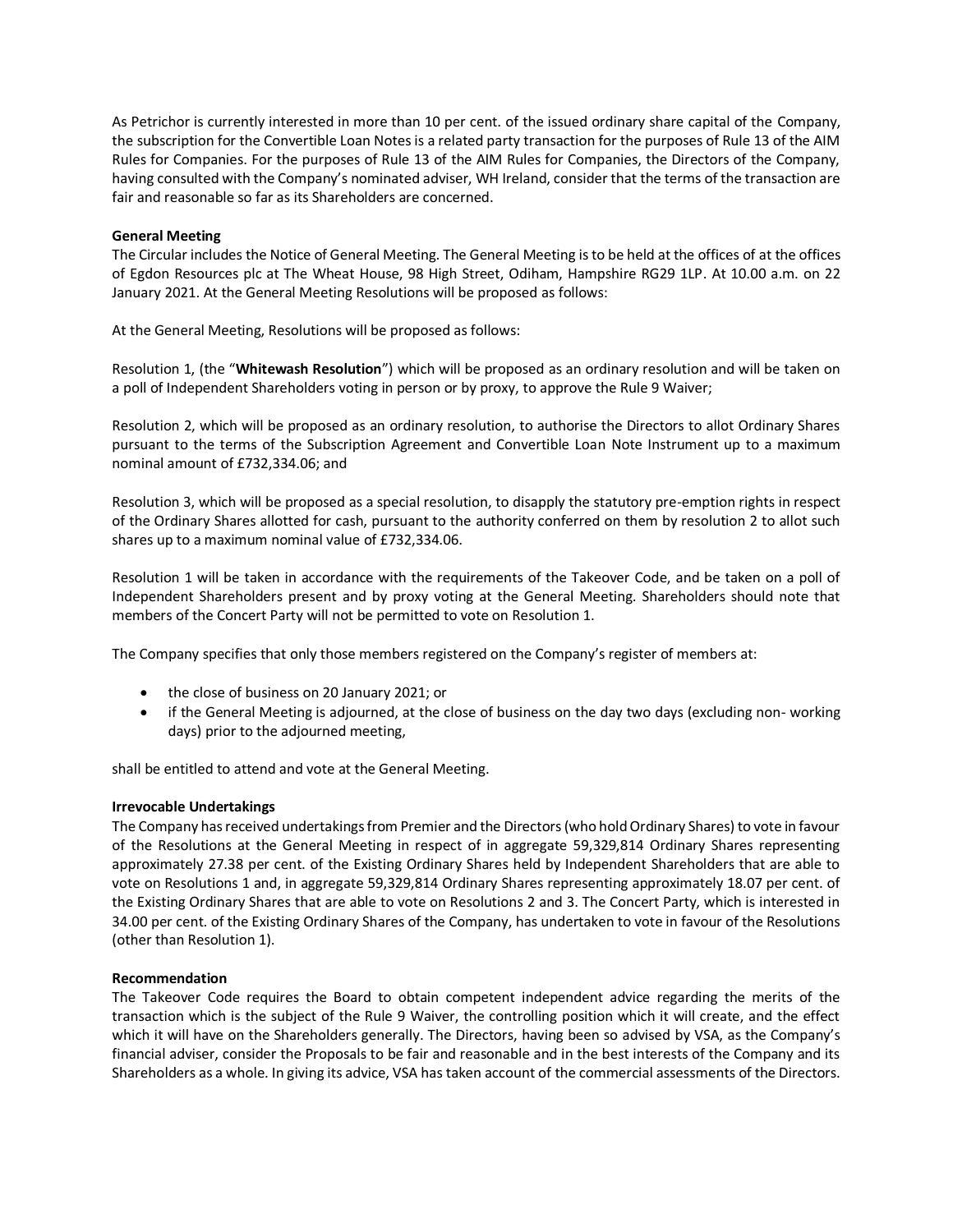As Petrichor is currently interested in more than 10 per cent. of the issued ordinary share capital of the Company, the subscription for the Convertible Loan Notes is a related party transaction for the purposes of Rule 13 of the AIM Rules for Companies. For the purposes of Rule 13 of the AIM Rules for Companies, the Directors of the Company, having consulted with the Company's nominated adviser, WH Ireland, consider that the terms of the transaction are fair and reasonable so far as its Shareholders are concerned.

## **General Meeting**

The Circular includes the Notice of General Meeting. The General Meeting is to be held at the offices of at the offices of Egdon Resources plc at The Wheat House, 98 High Street, Odiham, Hampshire RG29 1LP. At 10.00 a.m. on 22 January 2021. At the General Meeting Resolutions will be proposed as follows:

At the General Meeting, Resolutions will be proposed as follows:

Resolution 1, (the "**Whitewash Resolution**") which will be proposed as an ordinary resolution and will be taken on a poll of Independent Shareholders voting in person or by proxy, to approve the Rule 9 Waiver;

Resolution 2, which will be proposed as an ordinary resolution, to authorise the Directors to allot Ordinary Shares pursuant to the terms of the Subscription Agreement and Convertible Loan Note Instrument up to a maximum nominal amount of £732,334.06; and

Resolution 3, which will be proposed as a special resolution, to disapply the statutory pre-emption rights in respect of the Ordinary Shares allotted for cash, pursuant to the authority conferred on them by resolution 2 to allot such shares up to a maximum nominal value of £732,334.06.

Resolution 1 will be taken in accordance with the requirements of the Takeover Code, and be taken on a poll of Independent Shareholders present and by proxy voting at the General Meeting. Shareholders should note that members of the Concert Party will not be permitted to vote on Resolution 1.

The Company specifies that only those members registered on the Company's register of members at:

- the close of business on 20 January 2021; or
- if the General Meeting is adjourned, at the close of business on the day two days (excluding non- working days) prior to the adjourned meeting,

shall be entitled to attend and vote at the General Meeting.

### **Irrevocable Undertakings**

The Company has received undertakings from Premier and the Directors (who hold Ordinary Shares) to vote in favour of the Resolutions at the General Meeting in respect of in aggregate 59,329,814 Ordinary Shares representing approximately 27.38 per cent. of the Existing Ordinary Shares held by Independent Shareholders that are able to vote on Resolutions 1 and, in aggregate 59,329,814 Ordinary Shares representing approximately 18.07 per cent. of the Existing Ordinary Shares that are able to vote on Resolutions 2 and 3. The Concert Party, which is interested in 34.00 per cent. of the Existing Ordinary Shares of the Company, has undertaken to vote in favour of the Resolutions (other than Resolution 1).

### **Recommendation**

The Takeover Code requires the Board to obtain competent independent advice regarding the merits of the transaction which is the subject of the Rule 9 Waiver, the controlling position which it will create, and the effect which it will have on the Shareholders generally. The Directors, having been so advised by VSA, as the Company's financial adviser, consider the Proposals to be fair and reasonable and in the best interests of the Company and its Shareholders as a whole. In giving its advice, VSA has taken account of the commercial assessments of the Directors.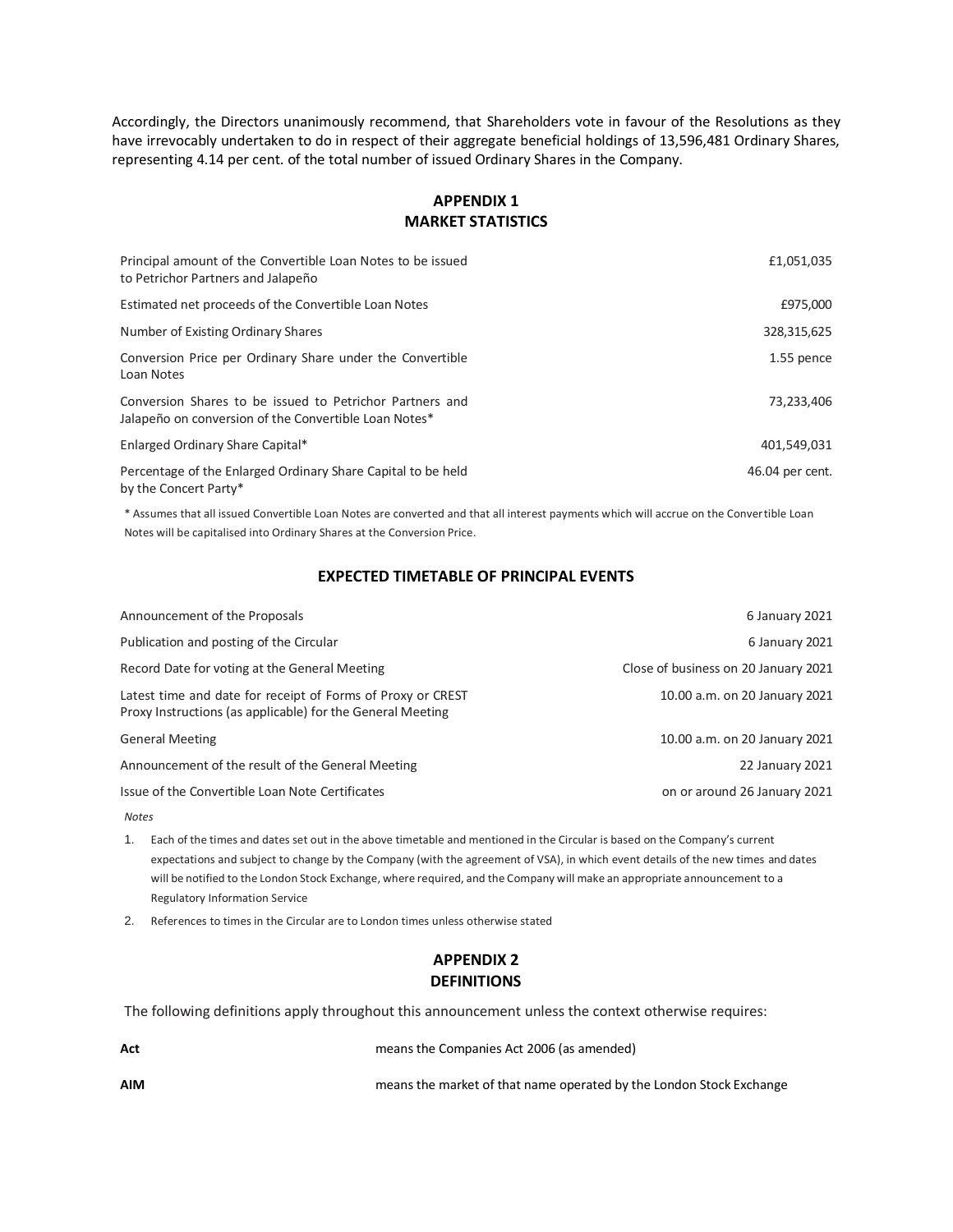Accordingly, the Directors unanimously recommend, that Shareholders vote in favour of the Resolutions as they have irrevocably undertaken to do in respect of their aggregate beneficial holdings of 13,596,481 Ordinary Shares, representing 4.14 per cent. of the total number of issued Ordinary Shares in the Company.

# **APPENDIX 1 MARKET STATISTICS**

| Principal amount of the Convertible Loan Notes to be issued<br>to Petrichor Partners and Jalapeño                 | £1,051,035      |
|-------------------------------------------------------------------------------------------------------------------|-----------------|
| Estimated net proceeds of the Convertible Loan Notes                                                              | £975,000        |
| Number of Existing Ordinary Shares                                                                                | 328,315,625     |
| Conversion Price per Ordinary Share under the Convertible<br>Loan Notes                                           | 1.55 pence      |
| Conversion Shares to be issued to Petrichor Partners and<br>Jalapeño on conversion of the Convertible Loan Notes* | 73,233,406      |
| Enlarged Ordinary Share Capital*                                                                                  | 401,549,031     |
| Percentage of the Enlarged Ordinary Share Capital to be held<br>by the Concert Party*                             | 46.04 per cent. |

\* Assumes that all issued Convertible Loan Notes are converted and that all interest payments which will accrue on the Convertible Loan Notes will be capitalised into Ordinary Shares at the Conversion Price.

## **EXPECTED TIMETABLE OF PRINCIPAL EVENTS**

| Announcement of the Proposals                                                                                             | 6 January 2021                       |
|---------------------------------------------------------------------------------------------------------------------------|--------------------------------------|
| Publication and posting of the Circular                                                                                   | 6 January 2021                       |
| Record Date for voting at the General Meeting                                                                             | Close of business on 20 January 2021 |
| Latest time and date for receipt of Forms of Proxy or CREST<br>Proxy Instructions (as applicable) for the General Meeting | 10.00 a.m. on 20 January 2021        |
| <b>General Meeting</b>                                                                                                    | 10.00 a.m. on 20 January 2021        |
| Announcement of the result of the General Meeting                                                                         | 22 January 2021                      |
| Issue of the Convertible Loan Note Certificates                                                                           | on or around 26 January 2021         |
|                                                                                                                           |                                      |

*Notes*

1. Each of the times and dates set out in the above timetable and mentioned in the Circular is based on the Company's current expectations and subject to change by the Company (with the agreement of VSA), in which event details of the new times and dates will be notified to the London Stock Exchange, where required, and the Company will make an appropriate announcement to a Regulatory Information Service

2. References to times in the Circular are to London times unless otherwise stated

# **APPENDIX 2 DEFINITIONS**

The following definitions apply throughout this announcement unless the context otherwise requires:

| Act        | means the Companies Act 2006 (as amended)                           |
|------------|---------------------------------------------------------------------|
| <b>AIM</b> | means the market of that name operated by the London Stock Exchange |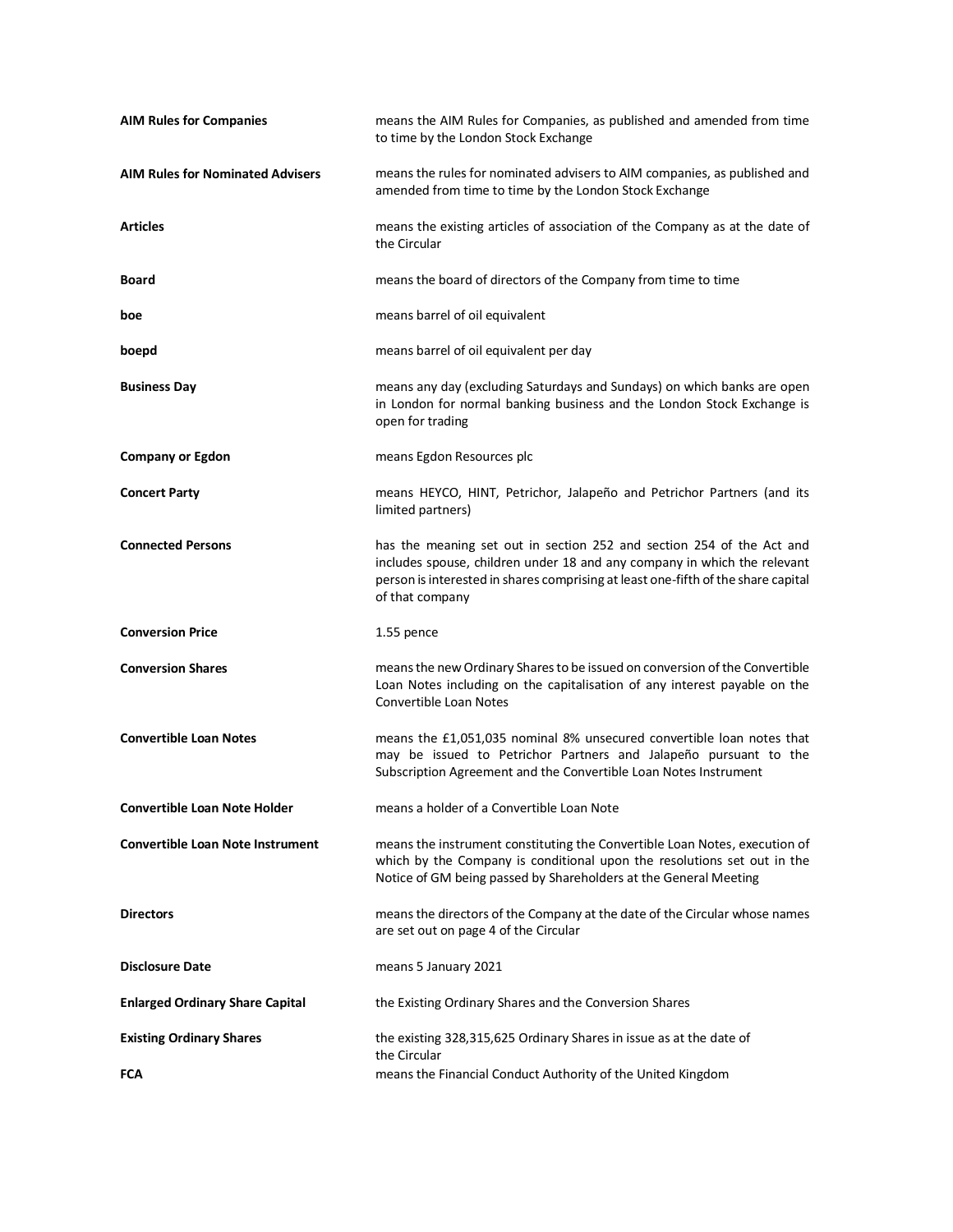| <b>AIM Rules for Companies</b>          | means the AIM Rules for Companies, as published and amended from time<br>to time by the London Stock Exchange                                                                                                                                             |
|-----------------------------------------|-----------------------------------------------------------------------------------------------------------------------------------------------------------------------------------------------------------------------------------------------------------|
| <b>AIM Rules for Nominated Advisers</b> | means the rules for nominated advisers to AIM companies, as published and<br>amended from time to time by the London Stock Exchange                                                                                                                       |
| <b>Articles</b>                         | means the existing articles of association of the Company as at the date of<br>the Circular                                                                                                                                                               |
| <b>Board</b>                            | means the board of directors of the Company from time to time                                                                                                                                                                                             |
| boe                                     | means barrel of oil equivalent                                                                                                                                                                                                                            |
| boepd                                   | means barrel of oil equivalent per day                                                                                                                                                                                                                    |
| <b>Business Day</b>                     | means any day (excluding Saturdays and Sundays) on which banks are open<br>in London for normal banking business and the London Stock Exchange is<br>open for trading                                                                                     |
| <b>Company or Egdon</b>                 | means Egdon Resources plc                                                                                                                                                                                                                                 |
| <b>Concert Party</b>                    | means HEYCO, HINT, Petrichor, Jalapeño and Petrichor Partners (and its<br>limited partners)                                                                                                                                                               |
| <b>Connected Persons</b>                | has the meaning set out in section 252 and section 254 of the Act and<br>includes spouse, children under 18 and any company in which the relevant<br>person is interested in shares comprising at least one-fifth of the share capital<br>of that company |
| <b>Conversion Price</b>                 | 1.55 pence                                                                                                                                                                                                                                                |
| <b>Conversion Shares</b>                | means the new Ordinary Shares to be issued on conversion of the Convertible<br>Loan Notes including on the capitalisation of any interest payable on the<br><b>Convertible Loan Notes</b>                                                                 |
| <b>Convertible Loan Notes</b>           | means the £1,051,035 nominal 8% unsecured convertible loan notes that<br>may be issued to Petrichor Partners and Jalapeño pursuant to the<br>Subscription Agreement and the Convertible Loan Notes Instrument                                             |
| <b>Convertible Loan Note Holder</b>     | means a holder of a Convertible Loan Note                                                                                                                                                                                                                 |
| <b>Convertible Loan Note Instrument</b> | means the instrument constituting the Convertible Loan Notes, execution of<br>which by the Company is conditional upon the resolutions set out in the<br>Notice of GM being passed by Shareholders at the General Meeting                                 |
| <b>Directors</b>                        | means the directors of the Company at the date of the Circular whose names<br>are set out on page 4 of the Circular                                                                                                                                       |
| <b>Disclosure Date</b>                  | means 5 January 2021                                                                                                                                                                                                                                      |
| <b>Enlarged Ordinary Share Capital</b>  | the Existing Ordinary Shares and the Conversion Shares                                                                                                                                                                                                    |
| <b>Existing Ordinary Shares</b>         | the existing 328,315,625 Ordinary Shares in issue as at the date of<br>the Circular                                                                                                                                                                       |
| <b>FCA</b>                              | means the Financial Conduct Authority of the United Kingdom                                                                                                                                                                                               |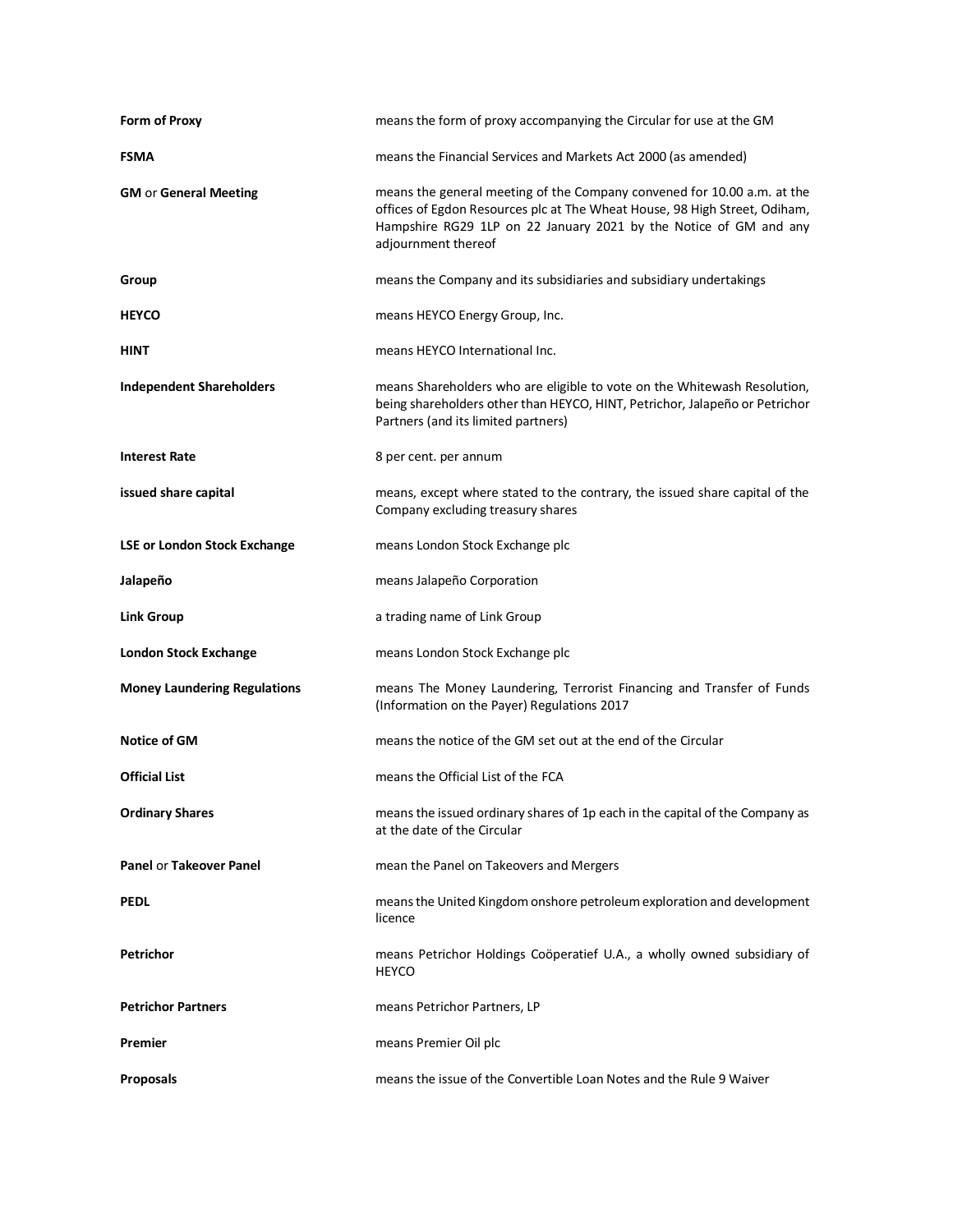| Form of Proxy                       | means the form of proxy accompanying the Circular for use at the GM                                                                                                                                                                               |
|-------------------------------------|---------------------------------------------------------------------------------------------------------------------------------------------------------------------------------------------------------------------------------------------------|
| <b>FSMA</b>                         | means the Financial Services and Markets Act 2000 (as amended)                                                                                                                                                                                    |
| <b>GM or General Meeting</b>        | means the general meeting of the Company convened for 10.00 a.m. at the<br>offices of Egdon Resources plc at The Wheat House, 98 High Street, Odiham,<br>Hampshire RG29 1LP on 22 January 2021 by the Notice of GM and any<br>adjournment thereof |
| Group                               | means the Company and its subsidiaries and subsidiary undertakings                                                                                                                                                                                |
| <b>HEYCO</b>                        | means HEYCO Energy Group, Inc.                                                                                                                                                                                                                    |
| HINT                                | means HEYCO International Inc.                                                                                                                                                                                                                    |
| <b>Independent Shareholders</b>     | means Shareholders who are eligible to vote on the Whitewash Resolution,<br>being shareholders other than HEYCO, HINT, Petrichor, Jalapeño or Petrichor<br>Partners (and its limited partners)                                                    |
| <b>Interest Rate</b>                | 8 per cent. per annum                                                                                                                                                                                                                             |
| issued share capital                | means, except where stated to the contrary, the issued share capital of the<br>Company excluding treasury shares                                                                                                                                  |
| <b>LSE or London Stock Exchange</b> | means London Stock Exchange plc                                                                                                                                                                                                                   |
| Jalapeño                            | means Jalapeño Corporation                                                                                                                                                                                                                        |
|                                     |                                                                                                                                                                                                                                                   |
| <b>Link Group</b>                   | a trading name of Link Group                                                                                                                                                                                                                      |
| <b>London Stock Exchange</b>        | means London Stock Exchange plc                                                                                                                                                                                                                   |
| <b>Money Laundering Regulations</b> | means The Money Laundering, Terrorist Financing and Transfer of Funds<br>(Information on the Payer) Regulations 2017                                                                                                                              |
| Notice of GM                        | means the notice of the GM set out at the end of the Circular                                                                                                                                                                                     |
| <b>Official List</b>                | means the Official List of the FCA                                                                                                                                                                                                                |
| <b>Ordinary Shares</b>              | means the issued ordinary shares of 1p each in the capital of the Company as<br>at the date of the Circular                                                                                                                                       |
| <b>Panel or Takeover Panel</b>      | mean the Panel on Takeovers and Mergers                                                                                                                                                                                                           |
| <b>PEDL</b>                         | means the United Kingdom onshore petroleum exploration and development<br>licence                                                                                                                                                                 |
| Petrichor                           | means Petrichor Holdings Coöperatief U.A., a wholly owned subsidiary of<br><b>HEYCO</b>                                                                                                                                                           |
| <b>Petrichor Partners</b>           | means Petrichor Partners, LP                                                                                                                                                                                                                      |
| Premier                             | means Premier Oil plc                                                                                                                                                                                                                             |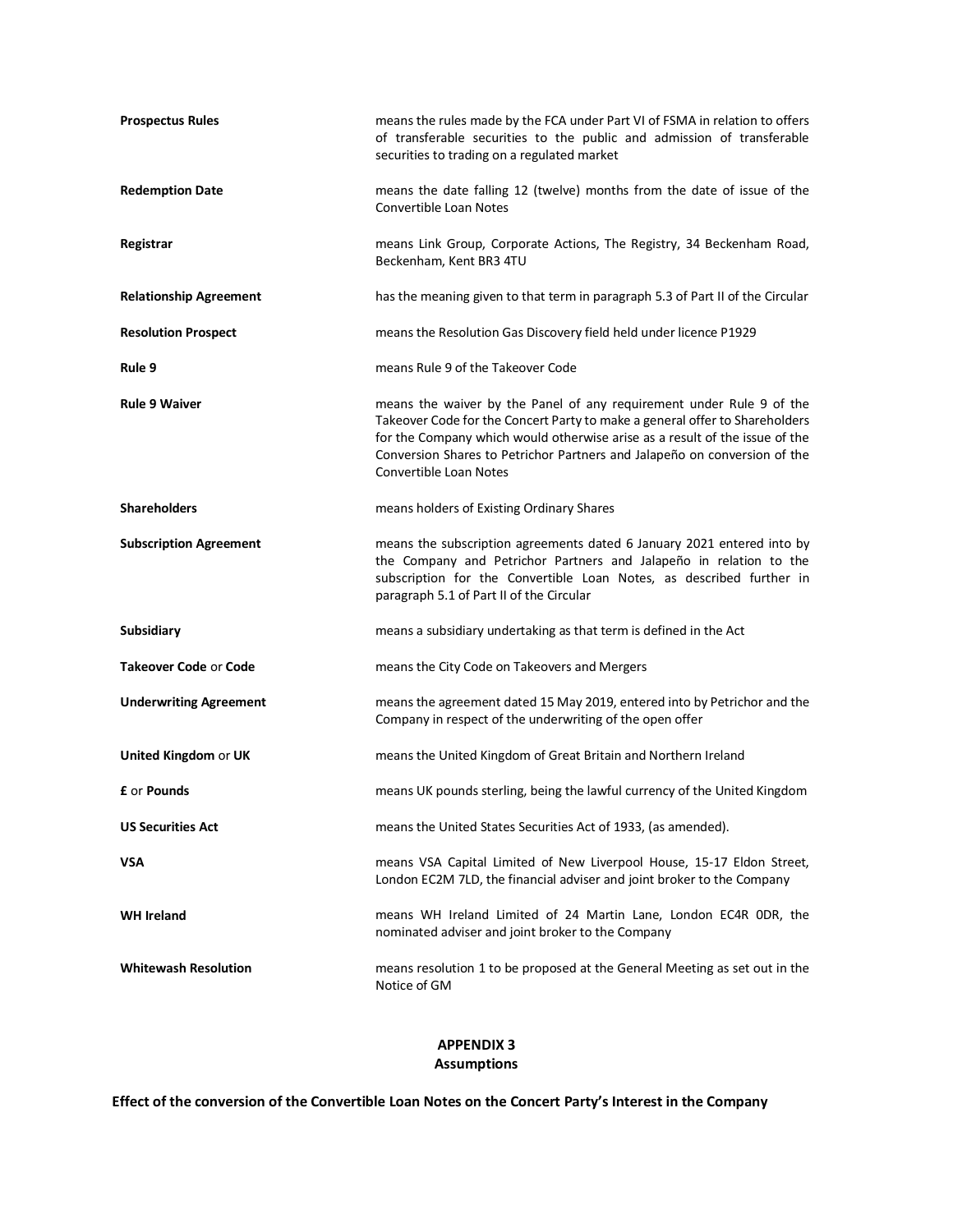| <b>Prospectus Rules</b>       | means the rules made by the FCA under Part VI of FSMA in relation to offers<br>of transferable securities to the public and admission of transferable<br>securities to trading on a regulated market                                                                                                                                             |
|-------------------------------|--------------------------------------------------------------------------------------------------------------------------------------------------------------------------------------------------------------------------------------------------------------------------------------------------------------------------------------------------|
| <b>Redemption Date</b>        | means the date falling 12 (twelve) months from the date of issue of the<br><b>Convertible Loan Notes</b>                                                                                                                                                                                                                                         |
| Registrar                     | means Link Group, Corporate Actions, The Registry, 34 Beckenham Road,<br>Beckenham, Kent BR3 4TU                                                                                                                                                                                                                                                 |
| <b>Relationship Agreement</b> | has the meaning given to that term in paragraph 5.3 of Part II of the Circular                                                                                                                                                                                                                                                                   |
| <b>Resolution Prospect</b>    | means the Resolution Gas Discovery field held under licence P1929                                                                                                                                                                                                                                                                                |
| Rule 9                        | means Rule 9 of the Takeover Code                                                                                                                                                                                                                                                                                                                |
| <b>Rule 9 Waiver</b>          | means the waiver by the Panel of any requirement under Rule 9 of the<br>Takeover Code for the Concert Party to make a general offer to Shareholders<br>for the Company which would otherwise arise as a result of the issue of the<br>Conversion Shares to Petrichor Partners and Jalapeño on conversion of the<br><b>Convertible Loan Notes</b> |
| <b>Shareholders</b>           | means holders of Existing Ordinary Shares                                                                                                                                                                                                                                                                                                        |
| <b>Subscription Agreement</b> | means the subscription agreements dated 6 January 2021 entered into by<br>the Company and Petrichor Partners and Jalapeño in relation to the<br>subscription for the Convertible Loan Notes, as described further in<br>paragraph 5.1 of Part II of the Circular                                                                                 |
| <b>Subsidiary</b>             | means a subsidiary undertaking as that term is defined in the Act                                                                                                                                                                                                                                                                                |
| <b>Takeover Code or Code</b>  | means the City Code on Takeovers and Mergers                                                                                                                                                                                                                                                                                                     |
| <b>Underwriting Agreement</b> | means the agreement dated 15 May 2019, entered into by Petrichor and the<br>Company in respect of the underwriting of the open offer                                                                                                                                                                                                             |
| United Kingdom or UK          | means the United Kingdom of Great Britain and Northern Ireland                                                                                                                                                                                                                                                                                   |
| <b>£</b> or <b>Pounds</b>     | means UK pounds sterling, being the lawful currency of the United Kingdom                                                                                                                                                                                                                                                                        |
| <b>US Securities Act</b>      | means the United States Securities Act of 1933, (as amended).                                                                                                                                                                                                                                                                                    |
| VSA                           | means VSA Capital Limited of New Liverpool House, 15-17 Eldon Street,<br>London EC2M 7LD, the financial adviser and joint broker to the Company                                                                                                                                                                                                  |
| <b>WH Ireland</b>             | means WH Ireland Limited of 24 Martin Lane, London EC4R ODR, the<br>nominated adviser and joint broker to the Company                                                                                                                                                                                                                            |
| <b>Whitewash Resolution</b>   | means resolution 1 to be proposed at the General Meeting as set out in the<br>Notice of GM                                                                                                                                                                                                                                                       |

# **APPENDIX 3 Assumptions**

**Effect of the conversion of the Convertible Loan Notes on the Concert Party's Interest in the Company**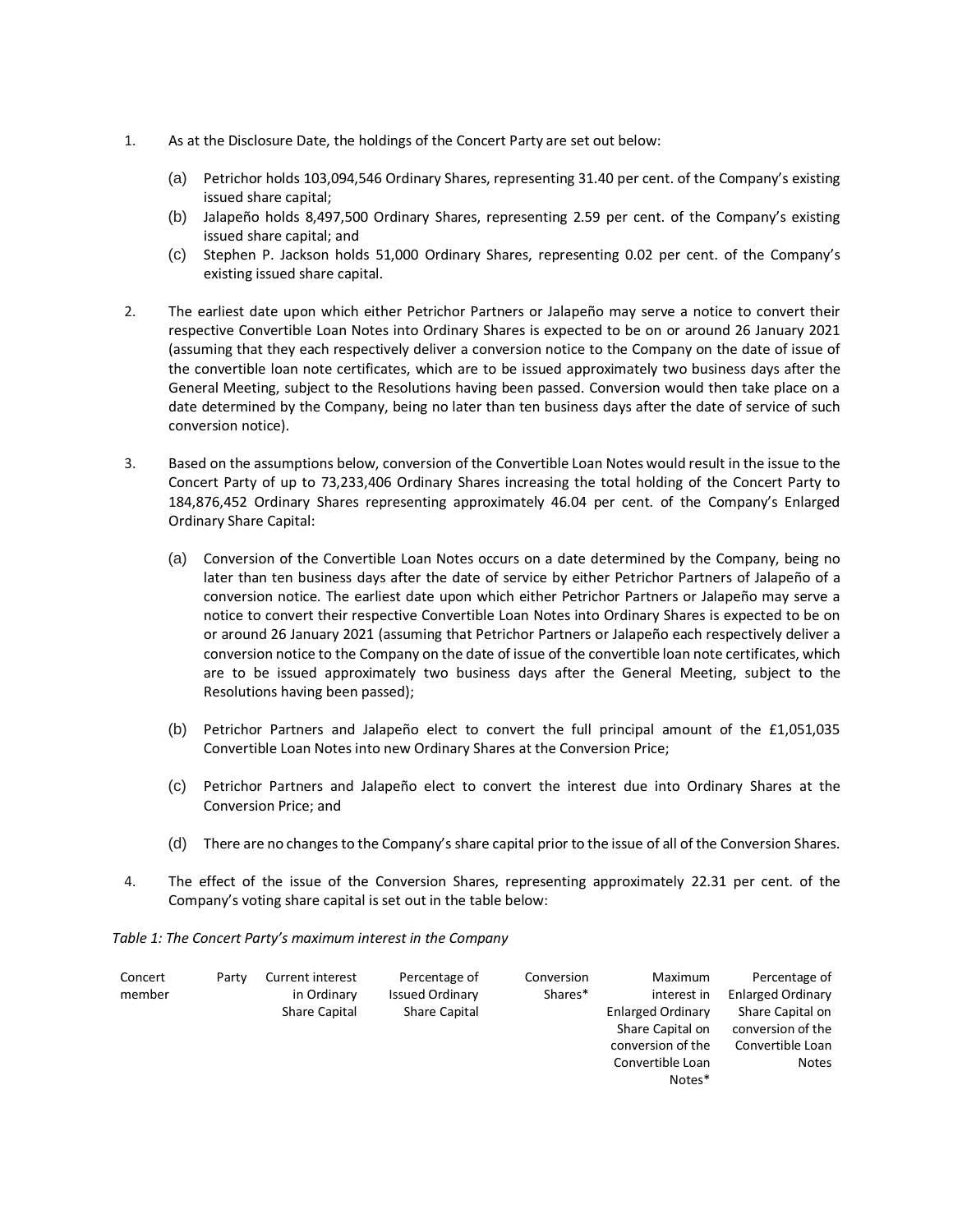- 1. As at the Disclosure Date, the holdings of the Concert Party are set out below:
	- (a) Petrichor holds 103,094,546 Ordinary Shares, representing 31.40 per cent. of the Company's existing issued share capital;
	- (b) Jalapeño holds 8,497,500 Ordinary Shares, representing 2.59 per cent. of the Company's existing issued share capital; and
	- (c) Stephen P. Jackson holds 51,000 Ordinary Shares, representing 0.02 per cent. of the Company's existing issued share capital.
- 2. The earliest date upon which either Petrichor Partners or Jalapeño may serve a notice to convert their respective Convertible Loan Notes into Ordinary Shares is expected to be on or around 26 January 2021 (assuming that they each respectively deliver a conversion notice to the Company on the date of issue of the convertible loan note certificates, which are to be issued approximately two business days after the General Meeting, subject to the Resolutions having been passed. Conversion would then take place on a date determined by the Company, being no later than ten business days after the date of service of such conversion notice).
- 3. Based on the assumptions below, conversion of the Convertible Loan Notes would result in the issue to the Concert Party of up to 73,233,406 Ordinary Shares increasing the total holding of the Concert Party to 184,876,452 Ordinary Shares representing approximately 46.04 per cent. of the Company's Enlarged Ordinary Share Capital:
	- (a) Conversion of the Convertible Loan Notes occurs on a date determined by the Company, being no later than ten business days after the date of service by either Petrichor Partners of Jalapeño of a conversion notice. The earliest date upon which either Petrichor Partners or Jalapeño may serve a notice to convert their respective Convertible Loan Notes into Ordinary Shares is expected to be on or around 26 January 2021 (assuming that Petrichor Partners or Jalapeño each respectively deliver a conversion notice to the Company on the date of issue of the convertible loan note certificates, which are to be issued approximately two business days after the General Meeting, subject to the Resolutions having been passed);
	- (b) Petrichor Partners and Jalapeño elect to convert the full principal amount of the £1,051,035 Convertible Loan Notes into new Ordinary Shares at the Conversion Price;
	- (c) Petrichor Partners and Jalapeño elect to convert the interest due into Ordinary Shares at the Conversion Price; and
	- (d) There are no changes to the Company's share capital prior to the issue of all of the Conversion Shares.
- 4. The effect of the issue of the Conversion Shares, representing approximately 22.31 per cent. of the Company's voting share capital is set out in the table below:

*Table 1: The Concert Party's maximum interest in the Company*

| Concert<br>member | Party | Current interest<br>in Ordinary<br>Share Capital | Percentage of<br><b>Issued Ordinary</b><br>Share Capital | Conversion<br>Shares* | Maximum<br>interest in<br><b>Enlarged Ordinary</b><br>Share Capital on<br>conversion of the<br>Convertible Loan<br>Notes* | Percentage of<br><b>Enlarged Ordinary</b><br>Share Capital on<br>conversion of the<br>Convertible Loan<br><b>Notes</b> |
|-------------------|-------|--------------------------------------------------|----------------------------------------------------------|-----------------------|---------------------------------------------------------------------------------------------------------------------------|------------------------------------------------------------------------------------------------------------------------|
|                   |       |                                                  |                                                          |                       |                                                                                                                           |                                                                                                                        |